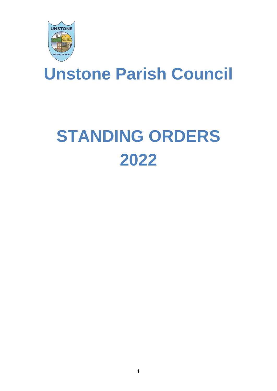

## **Unstone Parish Council**

# **STANDING ORDERS 2022**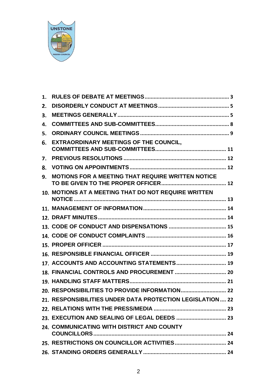

| 1. |                                                           |
|----|-----------------------------------------------------------|
| 2. |                                                           |
| 3. |                                                           |
| 4. |                                                           |
| 5. |                                                           |
| 6. | <b>EXTRAORDINARY MEETINGS OF THE COUNCIL,</b>             |
| 7. |                                                           |
| 8. |                                                           |
| 9. | MOTIONS FOR A MEETING THAT REQUIRE WRITTEN NOTICE         |
|    | 10. MOTIONS AT A MEETING THAT DO NOT REQUIRE WRITTEN      |
|    |                                                           |
|    |                                                           |
|    |                                                           |
|    |                                                           |
|    |                                                           |
|    |                                                           |
|    | 17. ACCOUNTS AND ACCOUNTING STATEMENTS 19                 |
|    |                                                           |
|    |                                                           |
|    |                                                           |
|    | 21. RESPONSIBILITIES UNDER DATA PROTECTION LEGISLATION 22 |
|    |                                                           |
|    |                                                           |
|    | 24. COMMUNICATING WITH DISTRICT AND COUNTY                |
|    |                                                           |
|    |                                                           |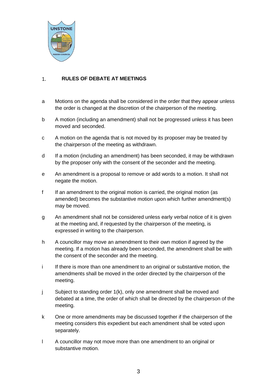

#### <span id="page-2-0"></span>**RULES OF DEBATE AT MEETINGS**  $1.$

- a Motions on the agenda shall be considered in the order that they appear unless the order is changed at the discretion of the chairperson of the meeting.
- b A motion (including an amendment) shall not be progressed unless it has been moved and seconded.
- c A motion on the agenda that is not moved by its proposer may be treated by the chairperson of the meeting as withdrawn.
- d If a motion (including an amendment) has been seconded, it may be withdrawn by the proposer only with the consent of the seconder and the meeting.
- e An amendment is a proposal to remove or add words to a motion. It shall not negate the motion.
- f If an amendment to the original motion is carried, the original motion (as amended) becomes the substantive motion upon which further amendment(s) may be moved.
- g An amendment shall not be considered unless early verbal notice of it is given at the meeting and, if requested by the chairperson of the meeting, is expressed in writing to the chairperson.
- h A councillor may move an amendment to their own motion if agreed by the meeting. If a motion has already been seconded, the amendment shall be with the consent of the seconder and the meeting.
- i If there is more than one amendment to an original or substantive motion, the amendments shall be moved in the order directed by the chairperson of the meeting.
- j Subject to standing order 1(k), only one amendment shall be moved and debated at a time, the order of which shall be directed by the chairperson of the meeting.
- k One or more amendments may be discussed together if the chairperson of the meeting considers this expedient but each amendment shall be voted upon separately.
- l A councillor may not move more than one amendment to an original or substantive motion.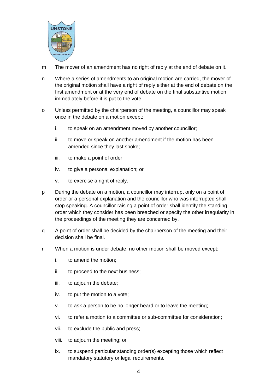

- m The mover of an amendment has no right of reply at the end of debate on it.
- n Where a series of amendments to an original motion are carried, the mover of the original motion shall have a right of reply either at the end of debate on the first amendment or at the very end of debate on the final substantive motion immediately before it is put to the vote.
- o Unless permitted by the chairperson of the meeting, a councillor may speak once in the debate on a motion except:
	- i. to speak on an amendment moved by another councillor;
	- ii. to move or speak on another amendment if the motion has been amended since they last spoke;
	- iii. to make a point of order;
	- iv. to give a personal explanation; or
	- v. to exercise a right of reply.
- p During the debate on a motion, a councillor may interrupt only on a point of order or a personal explanation and the councillor who was interrupted shall stop speaking. A councillor raising a point of order shall identify the standing order which they consider has been breached or specify the other irregularity in the proceedings of the meeting they are concerned by.
- q A point of order shall be decided by the chairperson of the meeting and their decision shall be final.
- r When a motion is under debate, no other motion shall be moved except:
	- i. to amend the motion;
	- ii. to proceed to the next business;
	- iii. to adjourn the debate;
	- iv. to put the motion to a vote;
	- v. to ask a person to be no longer heard or to leave the meeting;
	- vi. to refer a motion to a committee or sub-committee for consideration;
	- vii. to exclude the public and press;
	- viii. to adjourn the meeting; or
	- ix. to suspend particular standing order(s) excepting those which reflect mandatory statutory or legal requirements.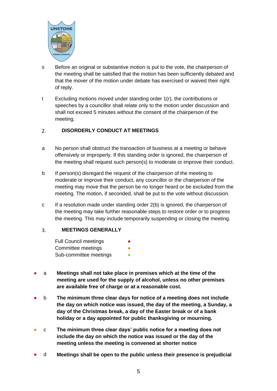

- s Before an original or substantive motion is put to the vote, the chairperson of the meeting shall be satisfied that the motion has been sufficiently debated and that the mover of the motion under debate has exercised or waived their right of reply.
- t Excluding motions moved under standing order 1(r), the contributions or speeches by a councillor shall relate only to the motion under discussion and shall not exceed 5 minutes without the consent of the chairperson of the meeting.

#### <span id="page-4-0"></span> $2.$ **DISORDERLY CONDUCT AT MEETINGS**

- a No person shall obstruct the transaction of business at a meeting or behave offensively or improperly. If this standing order is ignored, the chairperson of the meeting shall request such person(s) to moderate or improve their conduct.
- b If person(s) disregard the request of the chairperson of the meeting to moderate or improve their conduct, any councillor or the chairperson of the meeting may move that the person be no longer heard or be excluded from the meeting. The motion, if seconded, shall be put to the vote without discussion.
- c If a resolution made under standing order 2(b) is ignored, the chairperson of the meeting may take further reasonable steps to restore order or to progress the meeting. This may include temporarily suspending or closing the meeting.

#### <span id="page-4-1"></span>**MEETINGS GENERALLY**  $3<sub>1</sub>$

- Full Council meetings Committee meetings Sub-committee meetings **•**
- a **Meetings shall not take place in premises which at the time of the meeting are used for the supply of alcohol, unless no other premises are available free of charge or at a reasonable cost.**
- b **The minimum three clear days for notice of a meeting does not include the day on which notice was issued, the day of the meeting, a Sunday, a day of the Christmas break, a day of the Easter break or of a bank holiday or a day appointed for public thanksgiving or mourning.**
- c **The minimum three clear days' public notice for a meeting does not include the day on which the notice was issued or the day of the meeting unless the meeting is convened at shorter notice**
- d **Meetings shall be open to the public unless their presence is prejudicial**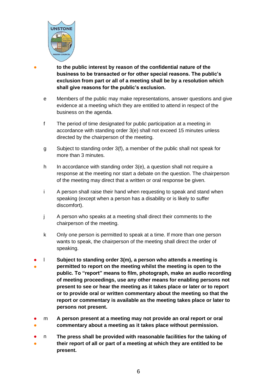

● **to the public interest by reason of the confidential nature of the business to be transacted or for other special reasons. The public's exclusion from part or all of a meeting shall be by a resolution which shall give reasons for the public's exclusion.**

- e Members of the public may make representations, answer questions and give evidence at a meeting which they are entitled to attend in respect of the business on the agenda.
- f The period of time designated for public participation at a meeting in accordance with standing order 3(e) shall not exceed 15 minutes unless directed by the chairperson of the meeting.
- g Subject to standing order 3(f), a member of the public shall not speak for more than 3 minutes.
- h In accordance with standing order 3(e), a question shall not require a response at the meeting nor start a debate on the question. The chairperson of the meeting may direct that a written or oral response be given.
- i A person shall raise their hand when requesting to speak and stand when speaking (except when a person has a disability or is likely to suffer discomfort).
- j A person who speaks at a meeting shall direct their comments to the chairperson of the meeting.
- k Only one person is permitted to speak at a time. If more than one person wants to speak, the chairperson of the meeting shall direct the order of speaking.
- ● l **Subject to standing order 3(m), a person who attends a meeting is permitted to report on the meeting whilst the meeting is open to the public. To "report" means to film, photograph, make an audio recording of meeting proceedings, use any other means for enabling persons not present to see or hear the meeting as it takes place or later or to report or to provide oral or written commentary about the meeting so that the report or commentary is available as the meeting takes place or later to persons not present.**
- ● m **A person present at a meeting may not provide an oral report or oral commentary about a meeting as it takes place without permission.**
- ● n **The press shall be provided with reasonable facilities for the taking of their report of all or part of a meeting at which they are entitled to be present.**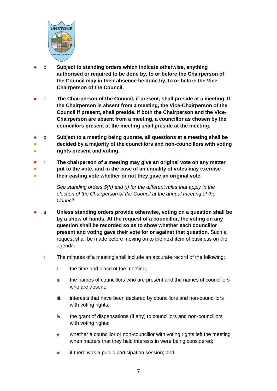

- o **Subject to standing orders which indicate otherwise, anything authorised or required to be done by, to or before the Chairperson of the Council may in their absence be done by, to or before the Vice-Chairperson of the Council.**
- p **The Chairperson of the Council, if present, shall preside at a meeting. If the Chairperson is absent from a meeting, the Vice-Chairperson of the Council if present, shall preside. If both the Chairperson and the Vice-Chairperson are absent from a meeting, a councillor as chosen by the councillors present at the meeting shall preside at the meeting.**
- q **Subject to a meeting being quorate, all questions at a meeting shall be**
- ● **decided by a majority of the councillors and non-councillors with voting rights present and voting.**
- r **The chairperson of a meeting may give an original vote on any matter**
- ● **put to the vote, and in the case of an equality of votes may exercise their casting vote whether or not they gave an original vote.**

*See standing orders 5(h) and (i) for the different rules that apply in the election of the Chairperson of the Council at the annual meeting of the Council.*

- s **Unless standing orders provide otherwise, voting on a question shall be by a show of hands. At the request of a councillor, the voting on any question shall be recorded so as to show whether each councillor present and voting gave their vote for or against that question.** Such a request shall be made before moving on to the next item of business on the agenda.
	- t The minutes of a meeting shall include an accurate record of the following:
		- i. the time and place of the meeting;
		- ii. the names of councillors who are present and the names of councillors who are absent;
		- iii. interests that have been declared by councillors and non-councillors with voting rights;
		- iv. the grant of dispensations (if any) to councillors and non-councillors with voting rights;
		- v. whether a councillor or non-councillor with voting rights left the meeting when matters that they held interests in were being considered;
		- vi. if there was a public participation session; and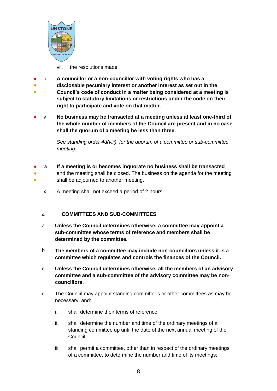

vii. the resolutions made.

- u **A councillor or a non-councillor with voting rights who has a**
- **disclosable pecuniary interest or another interest as set out in the**
- **Council's code of conduct in a matter being considered at a meeting is subject to statutory limitations or restrictions under the code on their right to participate and vote on that matter.**
- v **No business may be transacted at a meeting unless at least one-third of the whole number of members of the Council are present and in no case shall the quorum of a meeting be less than three.**

*See standing order 4d(viii) for the quorum of a committee or sub-committee meeting.* 

- ● w **If a meeting is or becomes inquorate no business shall be transacted** and the meeting shall be closed. The business on the agenda for the meeting
- shall be adjourned to another meeting.
	- x A meeting shall not exceed a period of 2 hours.

#### <span id="page-7-0"></span>**COMMITTEES AND SUB-COMMITTEES**  $\overline{4}$ .

- a **Unless the Council determines otherwise, a committee may appoint a sub-committee whose terms of reference and members shall be determined by the committee.**
- b **The members of a committee may include non-councillors unless it is a committee which regulates and controls the finances of the Council.**
- c **Unless the Council determines otherwise, all the members of an advisory committee and a sub-committee of the advisory committee may be noncouncillors.**
- d The Council may appoint standing committees or other committees as may be necessary, and:
	- i. shall determine their terms of reference;
	- ii. shall determine the number and time of the ordinary meetings of a standing committee up until the date of the next annual meeting of the Council;
	- iii. shall permit a committee, other than in respect of the ordinary meetings of a committee, to determine the number and time of its meetings;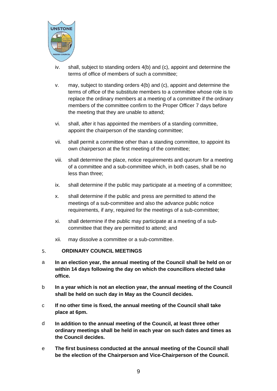

- iv. shall, subject to standing orders 4(b) and (c), appoint and determine the terms of office of members of such a committee;
- v. may, subject to standing orders 4(b) and (c), appoint and determine the terms of office of the substitute members to a committee whose role is to replace the ordinary members at a meeting of a committee if the ordinary members of the committee confirm to the Proper Officer 7 days before the meeting that they are unable to attend;
- vi. shall, after it has appointed the members of a standing committee, appoint the chairperson of the standing committee;
- vii. shall permit a committee other than a standing committee, to appoint its own chairperson at the first meeting of the committee;
- viii. shall determine the place, notice requirements and quorum for a meeting of a committee and a sub-committee which, in both cases, shall be no less than three;
- ix. shall determine if the public may participate at a meeting of a committee;
- x. shall determine if the public and press are permitted to attend the meetings of a sub-committee and also the advance public notice requirements, if any, required for the meetings of a sub-committee;
- xi. shall determine if the public may participate at a meeting of a subcommittee that they are permitted to attend; and
- xii. may dissolve a committee or a sub-committee.

#### <span id="page-8-0"></span>5. **ORDINARY COUNCIL MEETINGS**

- a **In an election year, the annual meeting of the Council shall be held on or within 14 days following the day on which the councillors elected take office.**
- b **In a year which is not an election year, the annual meeting of the Council shall be held on such day in May as the Council decides.**
- c **If no other time is fixed, the annual meeting of the Council shall take place at 6pm.**
- d **In addition to the annual meeting of the Council, at least three other ordinary meetings shall be held in each year on such dates and times as the Council decides.**
- e **The first business conducted at the annual meeting of the Council shall be the election of the Chairperson and Vice-Chairperson of the Council.**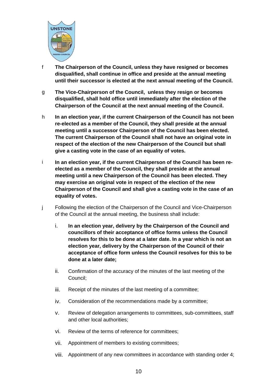

- f **The Chairperson of the Council, unless they have resigned or becomes disqualified, shall continue in office and preside at the annual meeting until their successor is elected at the next annual meeting of the Council.**
- g **The Vice-Chairperson of the Council, unless they resign or becomes disqualified, shall hold office until immediately after the election of the Chairperson of the Council at the next annual meeting of the Council.**
- h **In an election year, if the current Chairperson of the Council has not been re-elected as a member of the Council, they shall preside at the annual meeting until a successor Chairperson of the Council has been elected. The current Chairperson of the Council shall not have an original vote in respect of the election of the new Chairperson of the Council but shall give a casting vote in the case of an equality of votes.**
- i **In an election year, if the current Chairperson of the Council has been reelected as a member of the Council, they shall preside at the annual meeting until a new Chairperson of the Council has been elected. They may exercise an original vote in respect of the election of the new Chairperson of the Council and shall give a casting vote in the case of an equality of votes.**
- j Following the election of the Chairperson of the Council and Vice-Chairperson of the Council at the annual meeting, the business shall include:
	- i. **In an election year, delivery by the Chairperson of the Council and councillors of their acceptance of office forms unless the Council resolves for this to be done at a later date. In a year which is not an election year, delivery by the Chairperson of the Council of their acceptance of office form unless the Council resolves for this to be done at a later date;**
	- ii. Confirmation of the accuracy of the minutes of the last meeting of the Council;
	- iii. Receipt of the minutes of the last meeting of a committee;
	- iv. Consideration of the recommendations made by a committee;
	- v. Review of delegation arrangements to committees, sub-committees, staff and other local authorities;
	- vi. Review of the terms of reference for committees;
	- vii. Appointment of members to existing committees;
	- viii. Appointment of any new committees in accordance with standing order 4;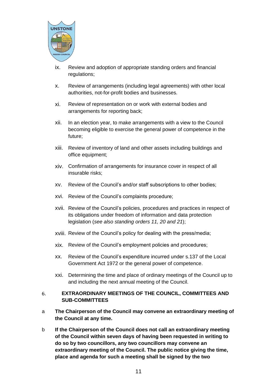

- ix. Review and adoption of appropriate standing orders and financial regulations;
- x. Review of arrangements (including legal agreements) with other local authorities, not-for-profit bodies and businesses.
- xi. Review of representation on or work with external bodies and arrangements for reporting back;
- xii. In an election year, to make arrangements with a view to the Council becoming eligible to exercise the general power of competence in the future;
- xiii. Review of inventory of land and other assets including buildings and office equipment;
- xiv. Confirmation of arrangements for insurance cover in respect of all insurable risks;
- xv. Review of the Council's and/or staff subscriptions to other bodies;
- xvi. Review of the Council's complaints procedure;
- xvii. Review of the Council's policies, procedures and practices in respect of its obligations under freedom of information and data protection legislation (*see also standing orders 11, 20 and 21*);
- xviii. Review of the Council's policy for dealing with the press/media;
- xix. Review of the Council's employment policies and procedures;
- xx. Review of the Council's expenditure incurred under s.137 of the Local Government Act 1972 or the general power of competence.
- xxi. Determining the time and place of ordinary meetings of the Council up to and including the next annual meeting of the Council.

#### <span id="page-10-0"></span>6. **EXTRAORDINARY MEETINGS OF THE COUNCIL, COMMITTEES AND SUB-COMMITTEES**

- a **The Chairperson of the Council may convene an extraordinary meeting of the Council at any time.**
- b **If the Chairperson of the Council does not call an extraordinary meeting of the Council within seven days of having been requested in writing to do so by two councillors, any two councillors may convene an extraordinary meeting of the Council. The public notice giving the time, place and agenda for such a meeting shall be signed by the two**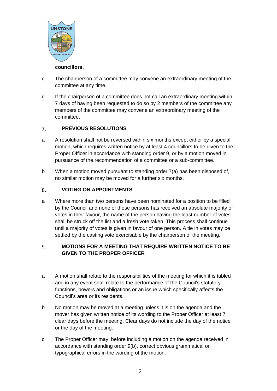

### **councillors.**

- c The chairperson of a committee may convene an extraordinary meeting of the committee at any time.
- d If the chairperson of a committee does not call an extraordinary meeting within 7 days of having been requested to do so by 2 members of the committee any members of the committee may convene an extraordinary meeting of the committee.

#### <span id="page-11-0"></span> $7.$ **PREVIOUS RESOLUTIONS**

- a A resolution shall not be reversed within six months except either by a special motion, which requires written notice by at least 4 councillors to be given to the Proper Officer in accordance with standing order 9, or by a motion moved in pursuance of the recommendation of a committee or a sub-committee.
- b When a motion moved pursuant to standing order 7(a) has been disposed of, no similar motion may be moved for a further six months.

#### <span id="page-11-1"></span>**VOTING ON APPOINTMENTS** 8.

a Where more than two persons have been nominated for a position to be filled by the Council and none of those persons has received an absolute majority of votes in their favour, the name of the person having the least number of votes shall be struck off the list and a fresh vote taken. This process shall continue until a majority of votes is given in favour of one person. A tie in votes may be settled by the casting vote exercisable by the chairperson of the meeting.

#### <span id="page-11-2"></span>**MOTIONS FOR A MEETING THAT REQUIRE WRITTEN NOTICE TO BE**  9. **GIVEN TO THE PROPER OFFICER**

- a A motion shall relate to the responsibilities of the meeting for which it is tabled and in any event shall relate to the performance of the Council's statutory functions, powers and obligations or an issue which specifically affects the Council's area or its residents.
- b No motion may be moved at a meeting unless it is on the agenda and the mover has given written notice of its wording to the Proper Officer at least 7 clear days before the meeting. Clear days do not include the day of the notice or the day of the meeting.
- c The Proper Officer may, before including a motion on the agenda received in accordance with standing order 9(b), correct obvious grammatical or typographical errors in the wording of the motion.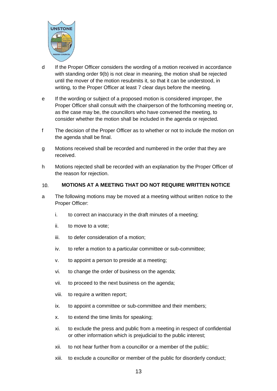

- d If the Proper Officer considers the wording of a motion received in accordance with standing order 9(b) is not clear in meaning, the motion shall be rejected until the mover of the motion resubmits it, so that it can be understood, in writing, to the Proper Officer at least 7 clear days before the meeting.
- e If the wording or subject of a proposed motion is considered improper, the Proper Officer shall consult with the chairperson of the forthcoming meeting or, as the case may be, the councillors who have convened the meeting, to consider whether the motion shall be included in the agenda or rejected.
- f The decision of the Proper Officer as to whether or not to include the motion on the agenda shall be final.
- g Motions received shall be recorded and numbered in the order that they are received.
- h Motions rejected shall be recorded with an explanation by the Proper Officer of the reason for rejection.

#### <span id="page-12-0"></span> $10.$ **MOTIONS AT A MEETING THAT DO NOT REQUIRE WRITTEN NOTICE**

- a The following motions may be moved at a meeting without written notice to the Proper Officer:
	- i. to correct an inaccuracy in the draft minutes of a meeting;
	- ii. to move to a vote;
	- iii. to defer consideration of a motion;
	- iv. to refer a motion to a particular committee or sub-committee;
	- v. to appoint a person to preside at a meeting;
	- vi. to change the order of business on the agenda;
	- vii. to proceed to the next business on the agenda;
	- viii. to require a written report;
	- ix. to appoint a committee or sub-committee and their members;
	- x. to extend the time limits for speaking;
	- xi. to exclude the press and public from a meeting in respect of confidential or other information which is prejudicial to the public interest;
	- xii. to not hear further from a councillor or a member of the public;
	- xiii. to exclude a councillor or member of the public for disorderly conduct;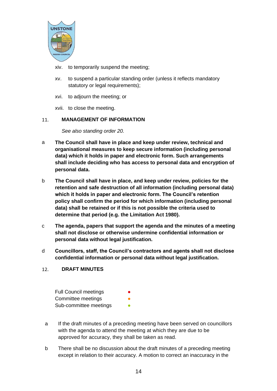

- xiv. to temporarily suspend the meeting;
- xv. to suspend a particular standing order (unless it reflects mandatory statutory or legal requirements);
- xvi. to adjourn the meeting; or
- xvii. to close the meeting.

#### <span id="page-13-0"></span>**MANAGEMENT OF INFORMATION**  11.

*See also standing order 20.*

- a **The Council shall have in place and keep under review, technical and organisational measures to keep secure information (including personal data) which it holds in paper and electronic form. Such arrangements shall include deciding who has access to personal data and encryption of personal data.**
- b **The Council shall have in place, and keep under review, policies for the retention and safe destruction of all information (including personal data) which it holds in paper and electronic form. The Council's retention policy shall confirm the period for which information (including personal data) shall be retained or if this is not possible the criteria used to determine that period (e.g. the Limitation Act 1980).**
- c **The agenda, papers that support the agenda and the minutes of a meeting shall not disclose or otherwise undermine confidential information or personal data without legal justification.**
- d **Councillors, staff, the Council's contractors and agents shall not disclose confidential information or personal data without legal justification.**

#### <span id="page-13-1"></span> $12.$ **DRAFT MINUTES**

| <b>Full Council meetings</b> | $\bullet$ |
|------------------------------|-----------|
| Committee meetings           | ●         |
| Sub-committee meetings       |           |

- a If the draft minutes of a preceding meeting have been served on councillors with the agenda to attend the meeting at which they are due to be approved for accuracy, they shall be taken as read.
- b There shall be no discussion about the draft minutes of a preceding meeting except in relation to their accuracy. A motion to correct an inaccuracy in the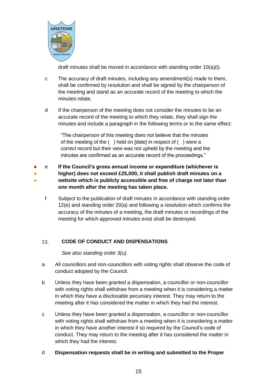

draft minutes shall be moved in accordance with standing order 10(a)(i).

- c The accuracy of draft minutes, including any amendment(s) made to them, shall be confirmed by resolution and shall be signed by the chairperson of the meeting and stand as an accurate record of the meeting to which the minutes relate.
- d If the chairperson of the meeting does not consider the minutes to be an accurate record of the meeting to which they relate, they shall sign the minutes and include a paragraph in the following terms or to the same effect:

"The chairperson of this meeting does not believe that the minutes of the meeting of the ( ) held on [date] in respect of ( ) were a correct record but their view was not upheld by the meeting and the minutes are confirmed as an accurate record of the proceedings."

- ● ● e **If the Council's gross annual income or expenditure (whichever is higher) does not exceed £25,000, it shall publish draft minutes on a website which is publicly accessible and free of charge not later than one month after the meeting has taken place.**
	- f Subject to the publication of draft minutes in accordance with standing order 12(e) and standing order 20(a) and following a resolution which confirms the accuracy of the minutes of a meeting, the draft minutes or recordings of the meeting for which approved minutes exist shall be destroyed.

#### <span id="page-14-0"></span>13. **CODE OF CONDUCT AND DISPENSATIONS**

*See also standing order 3(u).*

- a All councillors and non-councillors with voting rights shall observe the code of conduct adopted by the Council.
- b Unless they have been granted a dispensation, a councillor or non-councillor with voting rights shall withdraw from a meeting when it is considering a matter in which they have a disclosable pecuniary interest. They may return to the meeting after it has considered the matter in which they had the interest.
- c Unless they have been granted a dispensation, a councillor or non-councillor with voting rights shall withdraw from a meeting when it is considering a matter in which they have another interest if so required by the Council's code of conduct. They may return to the meeting after it has considered the matter in which they had the interest.
- d **Dispensation requests shall be in writing and submitted to the Proper**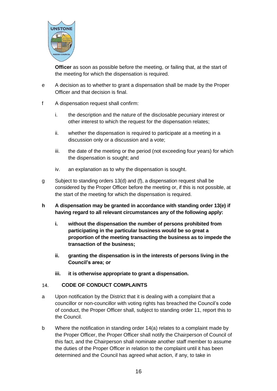

**Officer** as soon as possible before the meeting, or failing that, at the start of the meeting for which the dispensation is required.

- e A decision as to whether to grant a dispensation shall be made by the Proper Officer and that decision is final.
- f A dispensation request shall confirm:
	- i. the description and the nature of the disclosable pecuniary interest or other interest to which the request for the dispensation relates;
	- ii. whether the dispensation is required to participate at a meeting in a discussion only or a discussion and a vote;
	- iii. the date of the meeting or the period (not exceeding four years) for which the dispensation is sought; and
	- iv. an explanation as to why the dispensation is sought.
- g Subject to standing orders 13(d) and (f), a dispensation request shall be considered by the Proper Officer before the meeting or, if this is not possible, at the start of the meeting for which the dispensation is required.
- **h A dispensation may be granted in accordance with standing order 13(e) if having regard to all relevant circumstances any of the following apply:**
	- **i. without the dispensation the number of persons prohibited from participating in the particular business would be so great a proportion of the meeting transacting the business as to impede the transaction of the business;**
	- **ii. granting the dispensation is in the interests of persons living in the Council's area; or**
	- **iii. it is otherwise appropriate to grant a dispensation.**

#### <span id="page-15-0"></span>**CODE OF CONDUCT COMPLAINTS**  14.

- a Upon notification by the District that it is dealing with a complaint that a councillor or non-councillor with voting rights has breached the Council's code of conduct, the Proper Officer shall, subject to standing order 11, report this to the Council.
- b Where the notification in standing order 14(a) relates to a complaint made by the Proper Officer, the Proper Officer shall notify the Chairperson of Council of this fact, and the Chairperson shall nominate another staff member to assume the duties of the Proper Officer in relation to the complaint until it has been determined and the Council has agreed what action, if any, to take in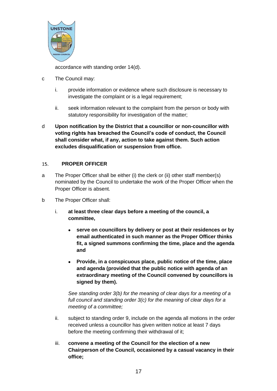

accordance with standing order 14(d).

- c The Council may:
	- i. provide information or evidence where such disclosure is necessary to investigate the complaint or is a legal requirement;
	- ii. seek information relevant to the complaint from the person or body with statutory responsibility for investigation of the matter;
- d **Upon notification by the District that a councillor or non-councillor with voting rights has breached the Council's code of conduct, the Council shall consider what, if any, action to take against them. Such action excludes disqualification or suspension from office.**

#### <span id="page-16-0"></span> $15.$ **PROPER OFFICER**

- a The Proper Officer shall be either (i) the clerk or (ii) other staff member(s) nominated by the Council to undertake the work of the Proper Officer when the Proper Officer is absent.
- b The Proper Officer shall:
	- i. **at least three clear days before a meeting of the council, a committee,**
		- **serve on councillors by delivery or post at their residences or by email authenticated in such manner as the Proper Officer thinks fit, a signed summons confirming the time, place and the agenda and**
		- **Provide, in a conspicuous place, public notice of the time, place and agenda (provided that the public notice with agenda of an extraordinary meeting of the Council convened by councillors is signed by them).**

*See standing order 3(b) for the meaning of clear days for a meeting of a full council and standing order 3(c) for the meaning of clear days for a meeting of a committee;*

- ii. subject to standing order 9, include on the agenda all motions in the order received unless a councillor has given written notice at least 7 days before the meeting confirming their withdrawal of it;
- iii. **convene a meeting of the Council for the election of a new Chairperson of the Council, occasioned by a casual vacancy in their office;**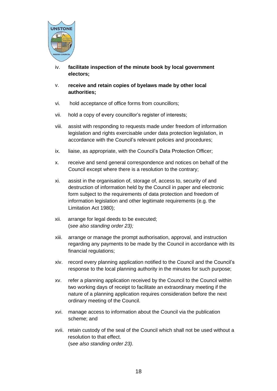

- iv. **facilitate inspection of the minute book by local government electors;**
- v. **receive and retain copies of byelaws made by other local authorities;**
- vi. hold acceptance of office forms from councillors;
- vii. hold a copy of every councillor's register of interests;
- viii. assist with responding to requests made under freedom of information legislation and rights exercisable under data protection legislation, in accordance with the Council's relevant policies and procedures;
- ix. liaise, as appropriate, with the Council's Data Protection Officer;
- x. receive and send general correspondence and notices on behalf of the Council except where there is a resolution to the contrary;
- xi. assist in the organisation of, storage of, access to, security of and destruction of information held by the Council in paper and electronic form subject to the requirements of data protection and freedom of information legislation and other legitimate requirements (e.g. the Limitation Act 1980);
- xii. arrange for legal deeds to be executed; (*see also standing order 23);*
- xiii. arrange or manage the prompt authorisation, approval, and instruction regarding any payments to be made by the Council in accordance with its financial regulations;
- xiv. record every planning application notified to the Council and the Council's response to the local planning authority in the minutes for such purpose;
- xv. refer a planning application received by the Council to the Council within two working days of receipt to facilitate an extraordinary meeting if the nature of a planning application requires consideration before the next ordinary meeting of the Council.
- xvi. manage access to information about the Council via the publication scheme; and
- xvii. retain custody of the seal of the Council which shall not be used without a resolution to that effect. (s*ee also standing order 23).*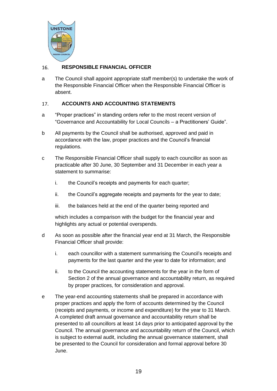

#### <span id="page-18-0"></span>**RESPONSIBLE FINANCIAL OFFICER**  16.

a The Council shall appoint appropriate staff member(s) to undertake the work of the Responsible Financial Officer when the Responsible Financial Officer is absent.

#### <span id="page-18-1"></span>17. **ACCOUNTS AND ACCOUNTING STATEMENTS**

- a "Proper practices" in standing orders refer to the most recent version of "Governance and Accountability for Local Councils – a Practitioners' Guide".
- b All payments by the Council shall be authorised, approved and paid in accordance with the law, proper practices and the Council's financial regulations.
- c The Responsible Financial Officer shall supply to each councillor as soon as practicable after 30 June, 30 September and 31 December in each year a statement to summarise:
	- i. the Council's receipts and payments for each quarter;
	- ii. the Council's aggregate receipts and payments for the year to date;
	- iii. the balances held at the end of the quarter being reported and

which includes a comparison with the budget for the financial year and highlights any actual or potential overspends.

- d As soon as possible after the financial year end at 31 March, the Responsible Financial Officer shall provide:
	- i. each councillor with a statement summarising the Council's receipts and payments for the last quarter and the year to date for information; and
	- ii. to the Council the accounting statements for the year in the form of Section 2 of the annual governance and accountability return, as required by proper practices, for consideration and approval.
- e The year-end accounting statements shall be prepared in accordance with proper practices and apply the form of accounts determined by the Council (receipts and payments, or income and expenditure) for the year to 31 March. A completed draft annual governance and accountability return shall be presented to all councillors at least 14 days prior to anticipated approval by the Council. The annual governance and accountability return of the Council, which is subject to external audit, including the annual governance statement, shall be presented to the Council for consideration and formal approval before 30 June.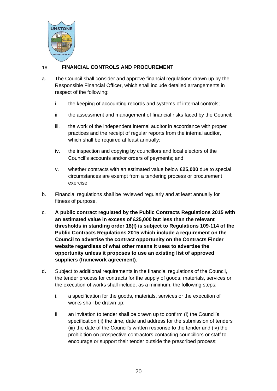

#### <span id="page-19-0"></span>**FINANCIAL CONTROLS AND PROCUREMENT** 18.

- a. The Council shall consider and approve financial regulations drawn up by the Responsible Financial Officer, which shall include detailed arrangements in respect of the following:
	- i. the keeping of accounting records and systems of internal controls;
	- ii. the assessment and management of financial risks faced by the Council;
	- iii. the work of the independent internal auditor in accordance with proper practices and the receipt of regular reports from the internal auditor, which shall be required at least annually;
	- iv. the inspection and copying by councillors and local electors of the Council's accounts and/or orders of payments; and
	- v. whether contracts with an estimated value below **£25,000** due to special circumstances are exempt from a tendering process or procurement exercise.
- b. Financial regulations shall be reviewed regularly and at least annually for fitness of purpose.
- c. **A public contract regulated by the Public Contracts Regulations 2015 with an estimated value in excess of £25,000 but less than the relevant thresholds in standing order 18(f) is subject to Regulations 109-114 of the Public Contracts Regulations 2015 which include a requirement on the Council to advertise the contract opportunity on the Contracts Finder website regardless of what other means it uses to advertise the opportunity unless it proposes to use an existing list of approved suppliers (framework agreement).**
- d. Subject to additional requirements in the financial regulations of the Council, the tender process for contracts for the supply of goods, materials, services or the execution of works shall include, as a minimum, the following steps:
	- i. a specification for the goods, materials, services or the execution of works shall be drawn up;
	- ii. an invitation to tender shall be drawn up to confirm (i) the Council's specification (ii) the time, date and address for the submission of tenders (iii) the date of the Council's written response to the tender and (iv) the prohibition on prospective contractors contacting councillors or staff to encourage or support their tender outside the prescribed process;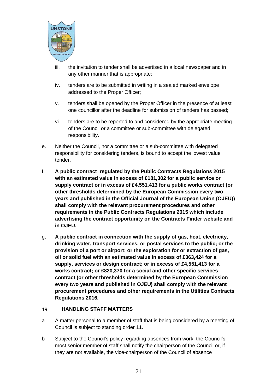

- iii. the invitation to tender shall be advertised in a local newspaper and in any other manner that is appropriate;
- iv. tenders are to be submitted in writing in a sealed marked envelope addressed to the Proper Officer;
- v. tenders shall be opened by the Proper Officer in the presence of at least one councillor after the deadline for submission of tenders has passed;
- vi. tenders are to be reported to and considered by the appropriate meeting of the Council or a committee or sub-committee with delegated responsibility.
- e. Neither the Council, nor a committee or a sub-committee with delegated responsibility for considering tenders, is bound to accept the lowest value tender.
- f. **A public contract regulated by the Public Contracts Regulations 2015 with an estimated value in excess of £181,302 for a public service or supply contract or in excess of £4,551,413 for a public works contract (or other thresholds determined by the European Commission every two years and published in the Official Journal of the European Union (OJEU)) shall comply with the relevant procurement procedures and other requirements in the Public Contracts Regulations 2015 which include advertising the contract opportunity on the Contracts Finder website and in OJEU.**
- g. **A public contract in connection with the supply of gas, heat, electricity, drinking water, transport services, or postal services to the public; or the provision of a port or airport; or the exploration for or extraction of gas, oil or solid fuel with an estimated value in excess of £363,424 for a supply, services or design contract; or in excess of £4,551,413 for a works contract; or £820,370 for a social and other specific services contract (or other thresholds determined by the European Commission every two years and published in OJEU) shall comply with the relevant procurement procedures and other requirements in the Utilities Contracts Regulations 2016.**

#### <span id="page-20-0"></span>19. **HANDLING STAFF MATTERS**

- a A matter personal to a member of staff that is being considered by a meeting of Council is subject to standing order 11.
- b Subject to the Council's policy regarding absences from work, the Council's most senior member of staff shall notify the chairperson of the Council or, if they are not available, the vice-chairperson of the Council of absence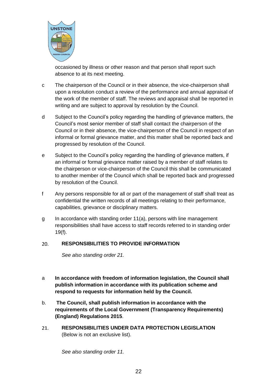

occasioned by illness or other reason and that person shall report such absence to at its next meeting.

- c The chairperson of the Council or in their absence, the vice-chairperson shall upon a resolution conduct a review of the performance and annual appraisal of the work of the member of staff. The reviews and appraisal shall be reported in writing and are subject to approval by resolution by the Council.
- d Subject to the Council's policy regarding the handling of grievance matters, the Council's most senior member of staff shall contact the chairperson of the Council or in their absence, the vice-chairperson of the Council in respect of an informal or formal grievance matter, and this matter shall be reported back and progressed by resolution of the Council.
- e Subject to the Council's policy regarding the handling of grievance matters, if an informal or formal grievance matter raised by a member of staff relates to the chairperson or vice-chairperson of the Council this shall be communicated to another member of the Council which shall be reported back and progressed by resolution of the Council.
- f Any persons responsible for all or part of the management of staff shall treat as confidential the written records of all meetings relating to their performance, capabilities, grievance or disciplinary matters.
- g In accordance with standing order 11(a), persons with line management responsibilities shall have access to staff records referred to in standing order 19(f).

#### <span id="page-21-0"></span>**RESPONSIBILITIES TO PROVIDE INFORMATION**   $20.$

*See also standing order 21.*

- a **In accordance with freedom of information legislation, the Council shall publish information in accordance with its publication scheme and respond to requests for information held by the Council.**
- b. **The Council, shall publish information in accordance with the requirements of the Local Government (Transparency Requirements) (England) Regulations 2015**.
- <span id="page-21-1"></span> $21.$ **RESPONSIBILITIES UNDER DATA PROTECTION LEGISLATION**  (Below is not an exclusive list).

*See also standing order 11.*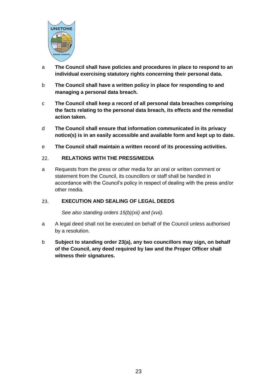

- a **The Council shall have policies and procedures in place to respond to an individual exercising statutory rights concerning their personal data.**
- b **The Council shall have a written policy in place for responding to and managing a personal data breach.**
- c **The Council shall keep a record of all personal data breaches comprising the facts relating to the personal data breach, its effects and the remedial action taken.**
- d **The Council shall ensure that information communicated in its privacy notice(s) is in an easily accessible and available form and kept up to date.**
- e **The Council shall maintain a written record of its processing activities.**

#### <span id="page-22-0"></span> $22.$ **RELATIONS WITH THE PRESS/MEDIA**

a Requests from the press or other media for an oral or written comment or statement from the Council, its councillors or staff shall be handled in accordance with the Council's policy in respect of dealing with the press and/or other media.

#### <span id="page-22-1"></span>**EXECUTION AND SEALING OF LEGAL DEEDS**   $23.$

*See also standing orders 15(b)(xii) and (xvii).*

- a A legal deed shall not be executed on behalf of the Council unless authorised by a resolution.
- b **Subject to standing order 23(a), any two councillors may sign, on behalf of the Council, any deed required by law and the Proper Officer shall witness their signatures.**